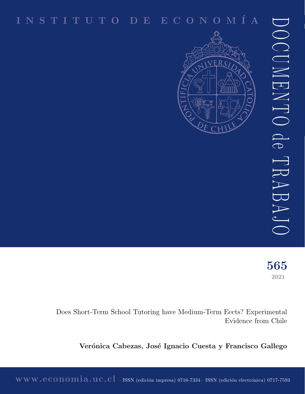# I N S T I T U T O D E E C O N O M ´I A



2021 565

Does Short-Term School Tutoring have Medium-Term Eects? Experimental Evidence from Chile

Verónica Cabezas, José Ignacio Cuesta y Francisco Gallego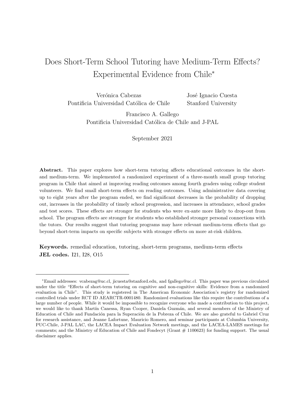## Does Short-Term School Tutoring have Medium-Term Effects? Experimental Evidence from Chile<sup>∗</sup>

Verónica Cabezas Pontificia Universidad Católica de Chile José Ignacio Cuesta Stanford University

> Francisco A. Gallego Pontificia Universidad Católica de Chile and J-PAL

> > September 2021

Abstract. This paper explores how short-term tutoring affects educational outcomes in the shortand medium-term. We implemented a randomized experiment of a three-month small group tutoring program in Chile that aimed at improving reading outcomes among fourth graders using college student volunteers. We find small short-term effects on reading outcomes. Using administrative data covering up to eight years after the program ended, we find significant decreases in the probability of dropping out, increases in the probability of timely school progression, and increases in attendance, school grades and test scores. These effects are stronger for students who were ex-ante more likely to drop-out from school. The program effects are stronger for students who established stronger personal connections with the tutors. Our results suggest that tutoring programs may have relevant medium-term effects that go beyond short-term impacts on specific subjects with stronger effects on more at-risk children.

Keywords. remedial education, tutoring, short-term programs, medium-term effects JEL codes. I21, I28, O15

<sup>∗</sup>Email addresses: vcabezag@uc.cl, jicuesta@stanford.edu, and fgallego@uc.cl. This paper was previous circulated under the title "Effects of short-term tutoring on cognitive and non-cognitive skills: Evidence from a randomized evaluation in Chile". This study is registered in The American Economic Association's registry for randomized controlled trials under RCT ID AEARCTR-0001480. Randomized evaluations like this require the contributions of a large number of people. While it would be impossible to recognize everyone who made a contribution to this project, we would like to thank Martín Canessa, Ryan Cooper, Daniela Guzmán, and several members of the Ministry of Education of Chile and Fundación para la Superación de la Pobreza of Chile. We are also grateful to Gabriel Cruz for research assistance, and Jeanne Lafortune, Mauricio Romero, and seminar participants at Columbia University, PUC-Chile, J-PAL LAC, the LACEA Impact Evaluation Network meetings, and the LACEA-LAMES meetings for comments; and the Ministry of Education of Chile and Fondecyt (Grant # 1100623) for funding support. The usual disclaimer applies.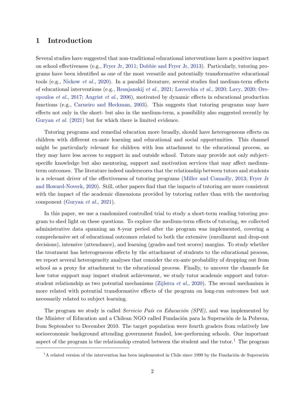## 1 Introduction

Several studies have suggested that non-traditional educational interventions have a positive impact on school effectiveness (e.g., Fryer Jr, 2011; Dobbie and Fryer Jr, 2013). Particularly, tutoring programs have been identified as one of the most versatile and potentially transformative educational tools (e.g., Nickow et al., 2020). In a parallel literature, several studies find medium-term effects of educational interventions (e.g., Resnjanskij et al., 2021; Lavecchia et al., 2020; Lavy, 2020; Oreopoulos et al., 2017; Angrist et al., 2006), motivated by dynamic effects in educational production functions (e.g., Carneiro and Heckman, 2003). This suggests that tutoring programs may have effects not only in the short- but also in the medium-term, a possibility also suggested recently by Guryan et al. (2021) but for which there is limited evidence.

Tutoring programs and remedial education more broadly, should have heterogeneous effects on children with different ex-ante learning and educational and social opportunities. This channel might be particularly relevant for children with less attachment to the educational process, as they may have less access to support in and outside school. Tutors may provide not only subjectspecific knowledge but also mentoring, support and motivation services that may affect mediumterm outcomes. The literature indeed underscores that the relationship between tutors and students is a relevant driver of the effectiveness of tutoring programs (Miller and Connolly, 2013; Fryer Jr and Howard-Noveck, 2020). Still, other papers find that the impacts of tutoring are more consistent with the impact of the academic dimensions provided by tutoring rather than with the mentoring component (Guryan et al., 2021).

In this paper, we use a randomized controlled trial to study a short-term reading tutoring program to shed light on these questions. To explore the medium-term effects of tutoring, we collected administrative data spanning an 8-year period after the program was implemented, covering a comprehensive set of educational outcomes related to both the extensive (enrollment and drop-out decisions), intensive (attendance), and learning (grades and test scores) margins. To study whether the treatment has heterogeneous effects by the attachment of students to the educational process, we report several heterogeneity analyses that consider the ex-ante probability of dropping out from school as a proxy for attachment to the educational process. Finally, to uncover the channels for how tutor support may impact student achievement, we study tutor academic support and tutorstudent relationship as two potential mechanisms (Zijlstra *et al.*, 2020). The second mechanism is more related with potential transformative effects of the program on long-run outcomes but not necessarily related to subject learning.

The program we study is called *Servicio País en Educación (SPE)*, and was implemented by the Minister of Education and a Chilean NGO called Fundación para la Superación de la Pobreza, from September to December 2010. The target population were fourth graders from relatively low socioeconomic background attending government funded, low-performing schools. One important aspect of the program is the relationship created between the student and the tutor.<sup>1</sup> The program

 $1A$  related version of the intervention has been implemented in Chile since 1999 by the Fundación de Superación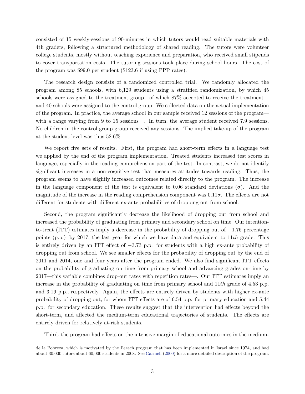consisted of 15 weekly-sessions of 90-minutes in which tutors would read suitable materials with 4th graders, following a structured methodology of shared reading. The tutors were volunteer college students, mostly without teaching experience and preparation, who received small stipends to cover transportation costs. The tutoring sessions took place during school hours. The cost of the program was \$99.0 per student (\$123.6 if using PPP rates).

The research design consists of a randomized controlled trial. We randomly allocated the program among 85 schools, with 6,129 students using a stratified randomization, by which 45 schools were assigned to the treatment group—of which 87% accepted to receive the treatment and 40 schools were assigned to the control group. We collected data on the actual implementation of the program. In practice, the average school in our sample received 12 sessions of the program with a range varying from 9 to 15 sessions—. In turn, the average student received 7.9 sessions. No children in the control group group received any sessions. The implied take-up of the program at the student level was thus 52.6%.

We report five sets of results. First, the program had short-term effects in a language test we applied by the end of the program implementation. Treated students increased test scores in language, especially in the reading comprehension part of the test. In contrast, we do not identify significant increases in a non-cognitive test that measures attitudes towards reading. Thus, the program seems to have slightly increased outcomes related directly to the program. The increase in the language component of the test is equivalent to 0.06 standard deviations ( $\sigma$ ). And the magnitude of the increase in the reading comprehension component was  $0.11\sigma$ . The effects are not different for students with different ex-ante probabilities of dropping out from school.

Second, the program significantly decrease the likelihood of dropping out from school and increased the probability of graduating from primary and secondary school on time. Our intentionto-treat (ITT) estimates imply a decrease in the probability of dropping out of −1.76 percentage points (p.p.) by 2017, the last year for which we have data and equivalent to  $11th$  grade. This is entirely driven by an ITT effect of −3.73 p.p. for students with a high ex-ante probability of dropping out from school. We see smaller effects for the probability of dropping out by the end of 2011 and 2014, one and four years after the program ended. We also find significant ITT effects on the probability of graduating on time from primary school and advancing grades on-time by 2017—this variable combines drop-out rates with repetition rates—. Our ITT estimates imply an increase in the probability of graduating on time from primary school and  $11th$  grade of 4.53 p.p. and 3.19 p.p., respectively. Again, the effects are entirely driven by students with higher ex-ante probability of dropping out, for whom ITT effects are of 6.54 p.p. for primary education and 5.44 p.p. for secondary education. These results suggest that the intervention had effects beyond the short-term, and affected the medium-term educational trajectories of students. The effects are entirely driven for relatively at-risk students.

Third, the program had effects on the intensive margin of educational outcomes in the medium-

de la Pobreza, which is motivated by the Perach program that has been implemented in Israel since 1974, and had about 30,000 tutors about 60,000 students in 2008. See Carmeli (2000) for a more detailed description of the program.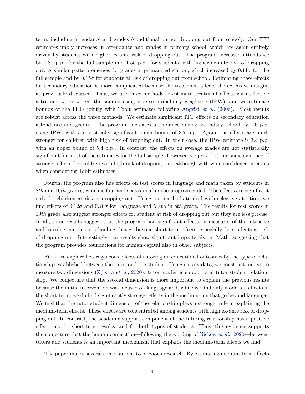term, including attendance and grades (conditional on not dropping out from school). Our ITT estimates imply increases in attendance and grades in primary school, which are again entirely driven by students with higher ex-ante risk of dropping out. The program increased attendance by 0.81 p.p. for the full sample and 1.55 p.p. for students with higher ex-ante risk of dropping out. A similar pattern emerges for grades in primary education, which increased by  $0.11\sigma$  for the full sample and by  $0.15\sigma$  for students at risk of dropping out from school. Estimating these effects for secondary education is more complicated because the treatment affects the extensive margin, as previously discussed. Thus, we use three methods to estimate treatment effects with selective attrition: we re-weight the sample using inverse probability weighting (IPW), and we estimate bounds of the ITTs jointly with Tobit estimates following Angrist et al. (2006). Most results are robust across the three methods. We estimate significant ITT effects on secondary education attendance and grades. The program increases attendance during secondary school by 1.6 p.p. using IPW, with a statistically significant upper bound of 3.7 p.p.. Again, the effects are much stronger for children with high risk of dropping out. In their case, the IPW estimate is 3.4 p.p. with an upper bound of 5.4 p.p.. In contrast, the effects on average grades are not statistically significant for most of the estimates for the full sample. However, we provide some some evidence of stronger effects for children with high risk of dropping out, although with wide confidence intervals when considering Tobit estimates.

Fourth, the program also has effects on test scores in language and math taken by students in 8th and 10th grades, which is four and six years after the program ended. The effects are significant only for children at risk of dropping out. Using our methods to deal with selective attrition, we find effects of  $0.12\sigma$  and  $0.20\sigma$  for Language and Math in 8th grade. The results for test scores in 10th grade also suggest stronger effects for student at risk of dropping out but they are less precise. In all, these results suggest that the program had significant effects on measures of the intensive and learning margins of schooling that go beyond short-term effects, especially for students at risk of dropping out. Interestingly, our results show significant impacts also in Math, suggesting that the program provides foundations for human capital also in other subjects.

Fifth, we explore heterogeneous effects of tutoring on educational outcomes by the type of relationship established between the tutor and the student. Using survey data, we construct indices to measure two dimensions (Zijlstra et al., 2020): tutor academic support and tutor-student relationship. We conjecture that the second dimension is more important to explain the previous results because the initial intervention was focused on language and, while we find only moderate effects in the short-term, we do find significantly stronger effects in the medium-run that go beyond language. We find that the tutor-student dimension of the relationship plays a stronger role in explaining the medium-term effects. These effects are concentrated among students with high ex-ante risk of dropping out. In contrast, the academic support component of the tutoring relationship has a positive effect only for short-term results, and for both types of students. Thus, this evidence supports the conjecture that the human connection—following the wording of Nickow et al., 2020—between tutors and students is an important mechanism that explains the medium-term effects we find.

The paper makes several contributions to previous research. By estimating medium-term effects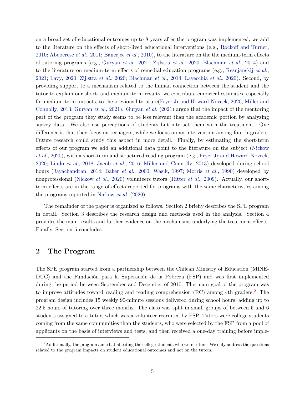on a broad set of educational outcomes up to 8 years after the program was implemented, we add to the literature on the effects of short-lived educational interventions (e.g., Rockoff and Turner, 2010; Abeberese et al., 2011; Banerjee et al., 2010), to the literature on the the medium-term effects of tutoring programs (e.g., Guryan et al., 2021; Zijlstra et al., 2020; Blachman et al., 2014) and to the literature on medium-term effects of remedial education programs (e.g., Resnjanskij et al., 2021; Lavy, 2020; Zijlstra et al., 2020; Blachman et al., 2014; Lavecchia et al., 2020). Second, by providing support to a mechanism related to the human connection between the student and the tutor to explain our short- and medium-term results, we contribute empirical estimates, especially for medium-term impacts, to the previous literature(Fryer Jr and Howard-Noveck, 2020; Miller and Connolly, 2013; Guryan et al., 2021). Guryan et al. (2021) argue that the impact of the mentoring part of the program they study seems to be less relevant than the academic portion by analyzing survey data. We also use perceptions of students but interact them with the treatment. One difference is that they focus on teenagers, while we focus on an intervention among fourth-graders. Future research could study this aspect in more detail. Finally, by estimating the short-term effects of our program we add an additional data point to the literature on the subject (Nickow et al., 2020), with a short-term and structured reading program (e.g., Fryer Jr and Howard-Noveck, 2020; Lindo et al., 2018; Jacob et al., 2016; Miller and Connolly, 2013) developed during school hours (Jayachandran, 2014; Baker *et al.*, 2000; Wasik, 1997; Morris *et al.*, 1990) developed by nonprofessional (Nickow et al., 2020) volunteers tutors (Ritter et al., 2009). Actually, our shortterm effects are in the range of effects reported for programs with the same characteristics among the programs reported in Nickow et al. (2020).

The remainder of the paper is organized as follows. Section 2 briefly describes the SPE program in detail. Section 3 describes the research design and methods used in the analysis. Section 4 provides the main results and further evidence on the mechanisms underlying the treatment effects. Finally, Section 5 concludes.

## 2 The Program

The SPE program started from a partnership between the Chilean Ministry of Education (MINE-DUC) and the Fundación para la Superación de la Pobreza (FSP) and was first implemented during the period between September and December of 2010. The main goal of the program was to improve attitudes toward reading and reading comprehension (RC) among 4th graders.<sup>2</sup> The program design includes 15 weekly 90-minute sessions delivered during school hours, adding up to 22.5 hours of tutoring over three months. The class was split in small groups of between 5 and 6 students assigned to a tutor, which was a volunteer recruited by FSP. Tutors were college students coming from the same communities than the students, who were selected by the FSP from a pool of applicants on the basis of interviews and tests, and then received a one-day training before imple-

<sup>&</sup>lt;sup>2</sup>Additionally, the program aimed at affecting the college students who were tutors. We only address the questions related to the program impacts on student educational outcomes and not on the tutors.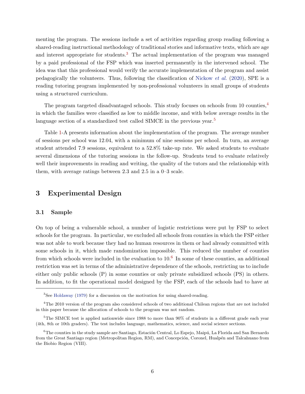menting the program. The sessions include a set of activities regarding group reading following a shared-reading instructional methodology of traditional stories and informative texts, which are age and interest appropriate for students.<sup>3</sup> The actual implementation of the program was managed by a paid professional of the FSP which was inserted permanently in the intervened school. The idea was that this professional would verify the accurate implementation of the program and assist pedagogically the volunteers. Thus, following the classification of Nickow et al. (2020), SPE is a reading tutoring program implemented by non-professional volunteers in small groups of students using a structured curriculum.

The program targeted disadvantaged schools. This study focuses on schools from 10 counties,  $\frac{4}{3}$ in which the families were classified as low to middle income, and with below average results in the language section of a standardized test called SIMCE in the previous year.<sup>5</sup>

Table 1-A presents information about the implementation of the program. The average number of sessions per school was 12.04, with a minimum of nine sessions per school. In turn, an average student attended 7.9 sessions, equivalent to a 52.8% take-up rate. We asked students to evaluate several dimensions of the tutoring sessions in the follow-up. Students tend to evaluate relatively well their improvements in reading and writing, the quality of the tutors and the relationship with them, with average ratings between 2.3 and 2.5 in a 0–3 scale.

## 3 Experimental Design

#### 3.1 Sample

On top of being a vulnerable school, a number of logistic restrictions were put by FSP to select schools for the program. In particular, we excluded all schools from counties in which the FSP either was not able to work because they had no human resources in them or had already committed with some schools in it, which made randomization impossible. This reduced the number of counties from which schools were included in the evaluation to  $10<sup>6</sup>$  In some of these counties, an additional restriction was set in terms of the administrative dependence of the schools, restricting us to include either only public schools (P) in some counties or only private subsidized schools (PS) in others. In addition, to fit the operational model designed by the FSP, each of the schools had to have at

<sup>&</sup>lt;sup>3</sup>See Holdaway (1979) for a discussion on the motivation for using shared-reading.

<sup>&</sup>lt;sup>4</sup>The 2010 version of the program also considered schools of two additional Chilean regions that are not included in this paper because the allocation of schools to the program was not random.

 $5$ The SIMCE test is applied nationwide since 1988 to more than 90% of students in a different grade each year (4th, 8th or 10th graders). The test includes language, mathematics, science, and social science sections.

 $6$ The counties in the study sample are Santiago, Estación Central, Lo Espejo, Maipú, La Florida and San Bernardo from the Great Santiago region (Metropolitan Region, RM), and Concepción, Coronel, Hualpén and Talcahuano from the Biobio Region (VIII).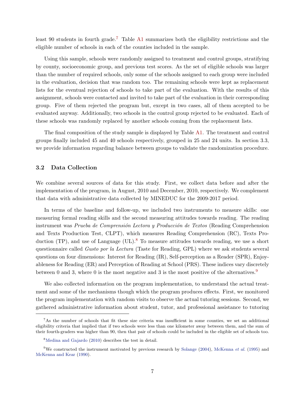least 90 students in fourth grade.<sup>7</sup> Table A1 summarizes both the eligibility restrictions and the eligible number of schools in each of the counties included in the sample.

Using this sample, schools were randomly assigned to treatment and control groups, stratifying by county, socioeconomic group, and previous test scores. As the set of eligible schools was larger than the number of required schools, only some of the schools assigned to each group were included in the evaluation, decision that was random too. The remaining schools were kept as replacement lists for the eventual rejection of schools to take part of the evaluation. With the results of this assignment, schools were contacted and invited to take part of the evaluation in their corresponding group. Five of them rejected the program but, except in two cases, all of them accepted to be evaluated anyway. Additionally, two schools in the control group rejected to be evaluated. Each of these schools was randomly replaced by another schools coming from the replacement lists.

The final composition of the study sample is displayed by Table A1. The treatment and control groups finally included 45 and 40 schools respectively, grouped in 25 and 24 units. In section 3.3, we provide information regarding balance between groups to validate the randomization procedure.

#### 3.2 Data Collection

We combine several sources of data for this study. First, we collect data before and after the implementation of the program, in August, 2010 and December, 2010, respectively. We complement that data with administrative data collected by MINEDUC for the 2009-2017 period.

In terms of the baseline and follow-up, we included two instruments to measure skills: one measuring formal reading skills and the second measuring attitudes towards reading. The reading instrument was Prueba de Comprensión Lectora y Producción de Textos (Reading Comprehension and Texts Production Test, CLPT), which measures Reading Comprehension (RC), Texts Production  $(TP)$ , and use of Language  $(UL).<sup>8</sup>$  To measure attitudes towards reading, we use a short questionnaire called Gusto por la Lectura (Taste for Reading, GPL) where we ask students several questions on four dimensions: Interest for Reading (IR), Self-perception as a Reader (SPR), Enjoyableness for Reading (ER) and Perception of Reading at School (PRS). These indices vary discretely between 0 and 3, where 0 is the most negative and 3 is the most positive of the alternatives.<sup>9</sup>

We also collected information on the program implementation, to understand the actual treatment and some of the mechanisms though which the program produces effects. First, we monitored the program implementation with random visits to observe the actual tutoring sessions. Second, we gathered administrative information about student, tutor, and professional assistance to tutoring

<sup>7</sup>As the number of schools that fit these size criteria was insufficient in some counties, we set an additional eligibility criteria that implied that if two schools were less than one kilometer away between them, and the sum of their fourth-graders was higher than 90, then that pair of schools could be included in the eligible set of schools too.

<sup>8</sup>Medina and Gajardo (2010) describes the test in detail.

<sup>&</sup>lt;sup>9</sup>We constructed the instrument motivated by previous research by Solange (2004), McKenna *et al.* (1995) and McKenna and Kear (1990).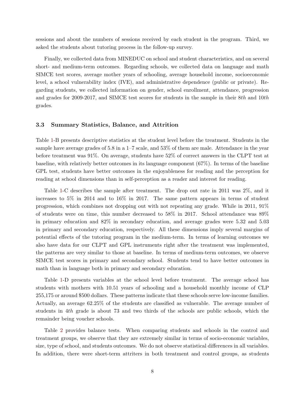sessions and about the numbers of sessions received by each student in the program. Third, we asked the students about tutoring process in the follow-up survey.

Finally, we collected data from MINEDUC on school and student characteristics, and on several short- and medium-term outcomes. Regarding schools, we collected data on language and math SIMCE test scores, average mother years of schooling, average household income, socioeconomic level, a school vulnerability index (IVE), and administrative dependence (public or private). Regarding students, we collected information on gender, school enrollment, attendance, progression and grades for 2009-2017, and SIMCE test scores for students in the sample in their 8th and 10th grades.

#### 3.3 Summary Statistics, Balance, and Attrition

Table 1-B presents descriptive statistics at the student level before the treatment. Students in the sample have average grades of 5.8 in a  $1-7$  scale, and 53% of them are male. Attendance in the year before treatment was 91%. On average, students have 52% of correct answers in the CLPT test at baseline, with relatively better outcomes in its language component (67%). In terms of the baseline GPL test, students have better outcomes in the enjoyableness for reading and the perception for reading at school dimensions than in self-perception as a reader and interest for reading.

Table 1-C describes the sample after treatment. The drop out rate in 2011 was 2%, and it increases to 5% in 2014 and to 16% in 2017. The same pattern appears in terms of student progression, which combines not dropping out with not repeating any grade. While in 2011, 91% of students were on time, this number decreased to 58% in 2017. School attendance was 89% in primary education and 82% in secondary education, and average grades were 5.32 and 5.03 in primary and secondary education, respectively. All these dimensions imply several margins of potential effects of the tutoring program in the medium-term. In terms of learning outcomes we also have data for our CLPT and GPL instruments right after the treatment was implemented, the patterns are very similar to those at baseline. In terms of medium-term outcomes, we observe SIMCE test scores in primary and secondary school. Students tend to have better outcomes in math than in language both in primary and secondary education.

Table 1-D presents variables at the school level before treatment. The average school has students with mothers with 10.51 years of schooling and a household monthly income of CLP 255,175 or around \$500 dollars. These patterns indicate that these schools serve low-income families. Actually, an average 62.25% of the students are classified as vulnerable. The average number of students in 4th grade is about 73 and two thirds of the schools are public schools, which the remainder being voucher schools.

Table 2 provides balance tests. When comparing students and schools in the control and treatment groups, we observe that they are extremely similar in terms of socio-economic variables, size, type of school, and students outcomes. We do not observe statistical differences in all variables. In addition, there were short-term attriters in both treatment and control groups, as students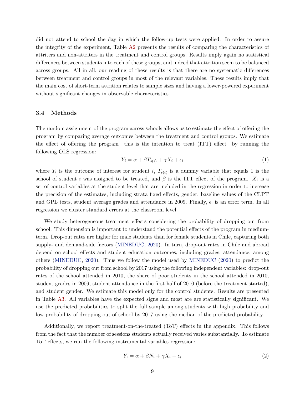did not attend to school the day in which the follow-up tests were applied. In order to assure the integrity of the experiment, Table A2 presents the results of comparing the characteristics of attriters and non-attriters in the treatment and control groups. Results imply again no statistical differences between students into each of these groups, and indeed that attrition seem to be balanced across groups. All in all, our reading of these results is that there are no systematic differences between treatment and control groups in most of the relevant variables. These results imply that the main cost of short-term attrition relates to sample sizes and having a lower-powered experiment without significant changes in observable characteristics.

#### 3.4 Methods

The random assignment of the program across schools allows us to estimate the effect of offering the program by comparing average outcomes between the treatment and control groups. We estimate the effect of offering the program—this is the intention to treat (ITT) effect—by running the following OLS regression:

$$
Y_i = \alpha + \beta T_{s(i)} + \gamma X_i + \epsilon_i \tag{1}
$$

where  $Y_i$  is the outcome of interest for student i,  $T_{s(i)}$  is a dummy variable that equals 1 is the school of student *i* was assigned to be treated, and  $\beta$  is the ITT effect of the program.  $X_i$  is a set of control variables at the student level that are included in the regression in order to increase the precision of the estimates, including strata fixed effects, gender, baseline values of the CLPT and GPL tests, student average grades and attendance in 2009. Finally,  $\epsilon_i$  is an error term. In all regression we cluster standard errors at the classroom level.

We study heterogeneous treatment effects considering the probability of dropping out from school. This dimension is important to understand the potential effects of the program in mediumterm. Drop-out rates are higher for male students than for female students in Chile, capturing both supply- and demand-side factors (MINEDUC, 2020). In turn, drop-out rates in Chile and abroad depend on school effects and student education outcomes, including grades, attendance, among others (MINEDUC, 2020). Thus we follow the model used by MINEDUC (2020) to predict the probability of dropping out from school by 2017 using the following independent variables: drop-out rates of the school attended in 2010, the share of poor students in the school attended in 2010, student grades in 2009, student attendance in the first half of 2010 (before the treatment started), and student gender. We estimate this model only for the control students. Results are presented in Table A3. All variables have the expected signs and most are are statistically significant. We use the predicted probabilities to split the full sample among students with high probability and low probability of dropping out of school by 2017 using the median of the predicted probability.

Additionally, we report treatment-on-the-treated (ToT) effects in the appendix. This follows from the fact that the number of sessions students actually received varies substantially. To estimate ToT effects, we run the following instrumental variables regression:

$$
Y_i = \alpha + \beta N_i + \gamma X_i + \epsilon_i \tag{2}
$$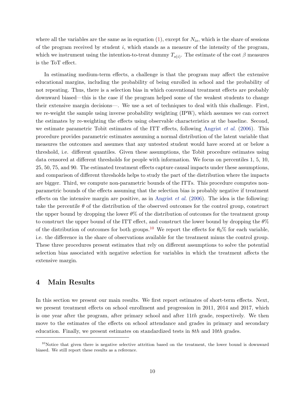where all the variables are the same as in equation (1), except for  $N_{is}$ , which is the share of sessions of the program received by student i, which stands as a measure of the intensity of the program, which we instrument using the intention-to-treat dummy  $T_{s(i)}$ . The estimate of the cost  $\beta$  measures is the ToT effect.

In estimating medium-term effects, a challenge is that the program may affect the extensive educational margins, including the probability of being enrolled in school and the probability of not repeating. Thus, there is a selection bias in which conventional treatment effects are probably downward biased—this is the case if the program helped some of the weakest students to change their extensive margin decisions—. We use a set of techniques to deal with this challenge. First, we re-weight the sample using inverse probability weighting (IPW), which assumes we can correct the estimates by re-weighting the effects using observable characteristics at the baseline. Second, we estimate parametric Tobit estimates of the ITT effects, following Angrist  $et al. (2006)$ . This procedure provides parametric estimates assuming a normal distribution of the latent variable that measures the outcomes and assumes that any untested student would have scored at or below a threshold, i.e. different quantiles. Given these assumptions, the Tobit procedure estimates using data censored at different thresholds for people with information. We focus on percentiles 1, 5, 10, 25, 50, 75, and 90. The estimated treatment effects capture causal impacts under these assumptions, and comparison of different thresholds helps to study the part of the distribution where the impacts are bigger. Third, we compute non-parametric bounds of the ITTs. This procedure computes nonparametric bounds of the effects assuming that the selection bias is probably negative if treatment effects on the intensive margin are positive, as in Angrist *et al.* (2006). The idea is the following: take the percentile  $\theta$  of the distribution of the observed outcomes for the control group, construct the upper bound by dropping the lower  $\theta\%$  of the distribution of outcomes for the treatment group to construct the upper bound of the ITT effect, and construct the lower bound by dropping the  $\theta\%$ of the distribution of outcomes for both groups.<sup>10</sup> We report the effects for  $\theta_0\%$  for each variable, i.e. the difference in the share of observations available for the treatment minus the control group. These three procedures present estimates that rely on different assumptions to solve the potential selection bias associated with negative selection for variables in which the treatment affects the extensive margin.

## 4 Main Results

In this section we present our main results. We first report estimates of short-term effects. Next, we present treatment effects on school enrollment and progression in 2011, 2014 and 2017, which is one year after the program, after primary school and after  $11th$  grade, respectively. We then move to the estimates of the effects on school attendance and grades in primary and secondary education. Finally, we present estimates on standardized tests in 8th and 10th grades.

<sup>&</sup>lt;sup>10</sup>Notice that given there is negative selective attrition based on the treatment, the lower bound is downward biased. We still report these results as a reference.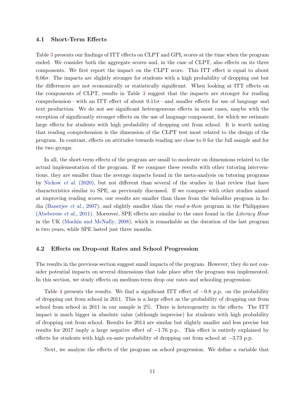#### 4.1 Short-Term Effects

Table 3 presents our findings of ITT effects on CLPT and GPL scores at the time when the program ended. We consider both the aggregate scores and, in the case of CLPT, also effects on its three components. We first report the impact on the CLPT score. This ITT effect is equal to about  $0.06\sigma$ . The impacts are slightly stronger for students with a high probability of dropping out but the differences are not economically or statistically significant. When looking at ITT effects on the components of CLPT, results in Table 3 suggest that the impacts are stronger for reading comprehension—with an ITT effect of about  $0.11\sigma$ —and smaller effects for use of language and text production. We do not see significant heterogeneous effects in most cases, maybe with the exception of significantly stronger effects on the use of language component, for which we estimate large effects for students with high probability of dropping out from school. It is worth noting that reading comprehension is the dimension of the CLPT test most related to the design of the program. In contrast, effects on attitudes towards reading are close to 0 for the full sample and for the two groups.

In all, the short-term effects of the program are small to moderate on dimensions related to the actual implementation of the program. If we compare these results with other tutoring interventions, they are smaller than the average impacts found in the meta-analysis on tutoring programs by Nickow et al. (2020), but not different than several of the studies in that review that have characteristics similar to SPE, as previously discussed. If we compare with other studies aimed at improving reading scores, our results are smaller than those from the balsakhis program in India (Banerjee *et al.*, 2007), and slightly smaller than the *read-a-thon* program in the Philippines (Abeberese et al., 2011). Moreover, SPE effects are similar to the ones found in the Literacy Hour in the UK (Machin and McNally, 2008), which is remarkable as the duration of the last program is two years, while SPE lasted just three months.

#### 4.2 Effects on Drop-out Rates and School Progression

The results in the previous section suggest small impacts of the program. However, they do not consider potential impacts on several dimensions that take place after the program was implemented. In this section, we study effects on medium-term drop our rates and schooling progression.

Table 4 presents the results. We find a significant ITT effect of  $-0.8$  p.p. on the probability of dropping out from school in 2011. This is a large effect as the probability of dropping out from school from school in 2011 in our sample is 2%. There is heterogeneity in the effects. The ITT impact is much bigger in absolute value (although imprecise) for students with high probability of dropping out from school. Results for 2014 are similar but slightly smaller and less precise but results for 2017 imply a large negative effect of  $-1.76$  p.p.. This effect is entirely explained by effects for students with high ex-ante probability of dropping out from school at −3.73 p.p.

Next, we analyze the effects of the program on school progression. We define a variable that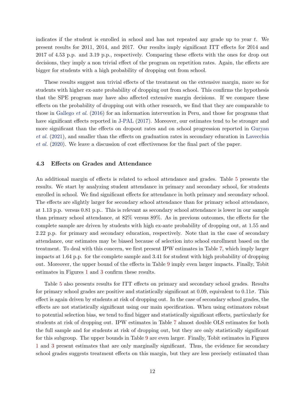indicates if the student is enrolled in school and has not repeated any grade up to year  $t$ . We present results for 2011, 2014, and 2017. Our results imply significant ITT effects for 2014 and 2017 of 4.53 p.p. and 3.19 p.p., respectively. Comparing these effects with the ones for drop out decisions, they imply a non trivial effect of the program on repetition rates. Again, the effects are bigger for students with a high probability of dropping out from school.

These results suggest non trivial effects of the treatment on the extensive margin, more so for students with higher ex-ante probability of dropping out from school. This confirms the hypothesis that the SPE program may have also affected extensive margin decisions. If we compare these effects on the probability of dropping out with other research, we find that they are comparable to those in Gallego *et al.* (2016) for an information intervention in Peru, and those for programs that have significant effects reported in J-PAL (2017). Moreover, our estimates tend to be stronger and more significant than the effects on dropout rates and on school progression reported in Guryan et al. (2021), and smaller than the effects on graduation rates in secondary education in Lavecchia et al. (2020). We leave a discussion of cost effectiveness for the final part of the paper.

#### 4.3 Effects on Grades and Attendance

An additional margin of effects is related to school attendance and grades. Table 5 presents the results. We start by analyzing student attendance in primary and secondary school, for students enrolled in school. We find significant effects for attendance in both primary and secondary school. The effects are slightly larger for secondary school attendance than for primary school attendance, at 1.13 p.p. versus 0.81 p.p.. This is relevant as secondary school attendance is lower in our sample than primary school attendance, at 82% versus 89%. As in previous outcomes, the effects for the complete sample are driven by students with high ex-ante probability of dropping out, at 1.55 and 2.22 p.p. for primary and secondary education, respectively. Note that in the case of secondary attendance, our estimates may be biased because of selection into school enrollment based on the treatment. To deal with this concern, we first present IPW estimates in Table 7, which imply larger impacts at 1.64 p.p. for the complete sample and 3.41 for student with high probability of dropping out. Moreover, the upper bound of the effects in Table 9 imply even larger impacts. Finally, Tobit estimates in Figures 1 and 3 confirm these results.

Table 5 also presents results for ITT effects on primary and secondary school grades. Results for primary school grades are positive and statistically significant at 0.09, equivalent to  $0.11\sigma$ . This effect is again driven by students at risk of dropping out. In the case of secondary school grades, the effects are not statistically significant using our main specification. When using estimators robust to potential selection bias, we tend to find bigger and statistically significant effects, particularly for students at risk of dropping out. IPW estimates in Table 7 almost double OLS estimates for both the full sample and for students at risk of dropping out, but they are only statistically significant for this subgroup. The upper bounds in Table 9 are even larger. Finally, Tobit estimates in Figures 1 and 3 present estimates that are only marginally significant. Thus, the evidence for secondary school grades suggests treatment effects on this margin, but they are less precisely estimated than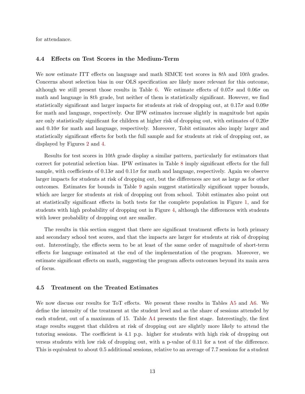for attendance.

#### 4.4 Effects on Test Scores in the Medium-Term

We now estimate ITT effects on language and math SIMCE test scores in 8th and 10th grades. Concerns about selection bias in our OLS specification are likely more relevant for this outcome, although we still present those results in Table 6. We estimate effects of  $0.07\sigma$  and  $0.06\sigma$  on math and language in  $8th$  grade, but neither of them is statistically significant. However, we find statistically significant and larger impacts for students at risk of dropping out, at  $0.17\sigma$  and  $0.09\sigma$ for math and language, respectively. Our IPW estimates increase slightly in magnitude but again are only statistically significant for children at higher risk of dropping out, with estimates of  $0.20\sigma$ and  $0.10\sigma$  for math and language, respectively. Moreover, Tobit estimates also imply larger and statistically significant effects for both the full sample and for students at risk of dropping out, as displayed by Figures 2 and 4.

Results for test scores in 10th grade display a similar pattern, particularly for estimators that correct for potential selection bias. IPW estimates in Table 8 imply significant effects for the full sample, with coefficients of  $0.13\sigma$  and  $0.11\sigma$  for math and language, respectively. Again we observe larger impacts for students at risk of dropping out, but the differences are not as large as for other outcomes. Estimates for bounds in Table 9 again suggest statistically significant upper bounds, which are larger for students at risk of dropping out from school. Tobit estimates also point out at statistically significant effects in both tests for the complete population in Figure 1, and for students with high probability of dropping out in Figure 4, although the differences with students with lower probability of dropping out are smaller.

The results in this section suggest that there are significant treatment effects in both primary and secondary school test scores, and that the impacts are larger for students at risk of dropping out. Interestingly, the effects seem to be at least of the same order of magnitude of short-term effects for language estimated at the end of the implementation of the program. Moreover, we estimate significant effects on math, suggesting the program affects outcomes beyond its main area of focus.

#### 4.5 Treatment on the Treated Estimates

We now discuss our results for ToT effects. We present these results in Tables A5 and A6. We define the intensity of the treatment at the student level and as the share of sessions attended by each student, out of a maximum of 15. Table A4 presents the first stage. Interestingly, the first stage results suggest that children at risk of dropping out are slightly more likely to attend the tutoring sessions. The coefficient is 4.1 p.p. higher for students with high risk of dropping out versus students with low risk of dropping out, with a p-value of 0.11 for a test of the difference. This is equivalent to about 0.5 additional sessions, relative to an average of 7.7 sessions for a student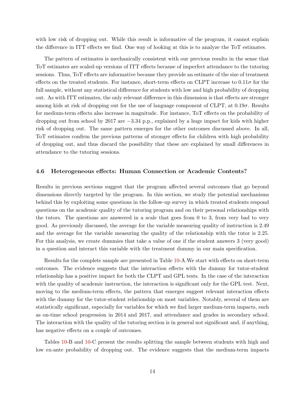with low risk of dropping out. While this result is informative of the program, it cannot explain the difference in ITT effects we find. One way of looking at this is to analyze the ToT estimates.

The pattern of estimates is mechanically consistent with our previous results in the sense that ToT estimates are scaled-up versions of ITT effects because of imperfect attendance to the tutoring sessions. Thus, ToT effects are informative because they provide an estimate of the size of treatment effects on the treated students. For instance, short-term effects on CLPT increase to  $0.11\sigma$  for the full sample, without any statistical difference for students with low and high probability of dropping out. As with ITT estimates, the only relevant difference in this dimension is that effects are stronger among kids at risk of dropping out for the use of language component of CLPT, at  $0.19\sigma$ . Results for medium-term effects also increase in magnitude. For instance, ToT effects on the probability of dropping out from school by 2017 are −3.34 p.p., explained by a huge impact for kids with higher risk of dropping out. The same pattern emerges for the other outcomes discussed above. In all, ToT estimates confirm the previous patterns of stronger effects for children with high probability of dropping out, and thus discard the possibility that these are explained by small differences in attendance to the tutoring sessions.

#### 4.6 Heterogeneous effects: Human Connection or Academic Contents?

Results in previous sections suggest that the program affected several outcomes that go beyond dimensions directly targeted by the program. In this section, we study the potential mechanisms behind this by exploiting some questions in the follow-up survey in which treated students respond questions on the academic quality of the tutoring program and on their personal relationships with the tutors. The questions are answered in a scale that goes from 0 to 3, from very bad to very good. As previously discussed, the average for the variable measuring quality of instruction is 2.49 and the average for the variable measuring the quality of the relationship with the tutor is 2.25. For this analysis, we create dummies that take a value of one if the student answers 3 (very good) in a question and interact this variable with the treatment dummy in our main specification.

Results for the complete sample are presented in Table 10-A.We start with effects on short-term outcomes. The evidence suggests that the interaction effects with the dummy for tutor-student relationship has a positive impact for both the CLPT and GPL tests. In the case of the interaction with the quality of academic instruction, the interaction is significant only for the GPL test. Next, moving to the medium-term effects, the pattern that emerges suggest relevant interaction effects with the dummy for the tutor-student relationship on most variables. Notably, several of them are statistically significant, especially for variables for which we find larger medium-term impacts, such as on-time school progression in 2014 and 2017, and attendance and grades in secondary school. The interaction with the quality of the tutoring section is in general not significant and, if anything, has negative effects on a couple of outcomes.

Tables 10-B and 10-C present the results splitting the sample between students with high and low ex-ante probability of dropping out. The evidence suggests that the medium-term impacts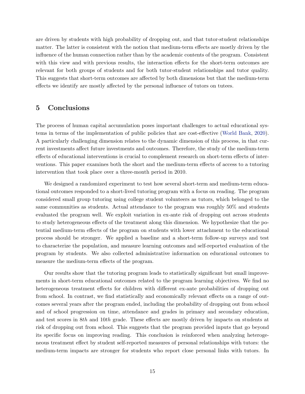are driven by students with high probability of dropping out, and that tutor-student relationships matter. The latter is consistent with the notion that medium-term effects are mostly driven by the influence of the human connection rather than by the academic contents of the program. Consistent with this view and with previous results, the interaction effects for the short-term outcomes are relevant for both groups of students and for both tutor-student relationships and tutor quality. This suggests that short-term outcomes are affected by both dimensions but that the medium-term effects we identify are mostly affected by the personal influence of tutors on tutees.

## 5 Conclusions

The process of human capital accumulation poses important challenges to actual educational systems in terms of the implementation of public policies that are cost-effective (World Bank, 2020). A particularly challenging dimension relates to the dynamic dimension of this process, in that current investments affect future investments and outcomes. Therefore, the study of the medium-term effects of educational interventions is crucial to complement research on short-term effects of interventions. This paper examines both the short and the medium-term effects of access to a tutoring intervention that took place over a three-month period in 2010.

We designed a randomized experiment to test how several short-term and medium-term educational outcomes responded to a short-lived tutoring program with a focus on reading. The program considered small group tutoring using college student volunteers as tutors, which belonged to the same communities as students. Actual attendance to the program was roughly 50% and students evaluated the program well. We exploit variation in ex-ante risk of dropping out across students to study heterogeneous effects of the treatment along this dimension. We hypothesize that the potential medium-term effects of the program on students with lower attachment to the educational process should be stronger. We applied a baseline and a short-term follow-up surveys and test to characterize the population, and measure learning outcomes and self-reported evaluation of the program by students. We also collected administrative information on educational outcomes to measure the medium-term effects of the program.

Our results show that the tutoring program leads to statistically significant but small improvements in short-term educational outcomes related to the program learning objectives. We find no heterogeneous treatment effects for children with different ex-ante probabilities of dropping out from school. In contrast, we find statistically and economically relevant effects on a range of outcomes several years after the program ended, including the probability of dropping out from school and of school progression on time, attendance and grades in primary and secondary education, and test scores in 8th and 10th grade. These effects are mostly driven by impacts on students at risk of dropping out from school. This suggests that the program provided inputs that go beyond its specific focus on improving reading. This conclusion is reinforced when analyzing heterogeneous treatment effect by student self-reported measures of personal relationships with tutors: the medium-term impacts are stronger for students who report close personal links with tutors. In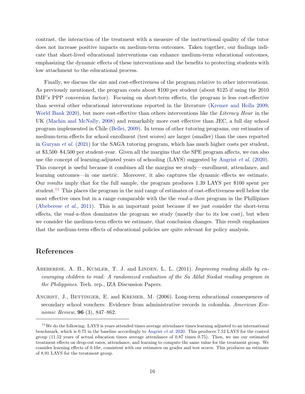contrast, the interaction of the treatment with a measure of the instructional quality of the tutor does not increase positive impacts on medium-term outcomes. Taken together, our findings indicate that short-lived educational interventions can enhance medium-term educational outcomes, emphasizing the dynamic effects of these interventions and the benefits to protecting students with low attachment to the educational process.

Finally, we discuss the size and cost-effectiveness of the program relative to other interventions. As previously mentioned, the program costs about \$100 per student (about \$125 if using the 2010 IMF's PPP conversion factor). Focusing on short-term effects, the program is less cost-effective than several other educational interventions reported in the literature (Kremer and Holla 2009; World Bank 2020), but more cost-effective than others interventions like the Literacy Hour in the UK (Machin and McNally, 2008) and remarkably more cost effective than JEC, a full day school program implemented in Chile (Bellei, 2009). In terms of other tutoring programs, our estimates of medium-term effects for school enrollment (test scores) are larger (smaller) than the ones reported in Guryan *et al.* (2021) for the SAGA tutoring program, which has much higher costs per student, at \$3,500–\$4,500 per student-year. Given all the margins that the SPE program affects, we can also use the concept of learning-adjusted years of schooling (LAYS) suggested by Angrist  $et al. (2020)$ . This concept is useful because it combines all the margins we study—enrollment, attendance, and learning outcomes—in one metric. Moreover, it also captures the dynamic effects we estimate. Our results imply that for the full sample, the program produces 1.39 LAYS per \$100 spent per student.<sup>11</sup> This places the program in the mid range of estimates of cost-effectiveness well below the most effective ones but in a range comparable with the the read-a-thon program in the Phillipines (Abeberese et al., 2011). This is an important point because if we just consider the short-term effects, the *read-a-thon* dominates the program we study (mostly due to its low cost), but when we consider the medium-term effects we estimate, that conclusion changes. This result emphasizes that the medium-term effects of educational policies are quite relevant for policy analysis.

## References

- ABEBERESE, A. B., KUMLER, T. J. and LINDEN, L. L.  $(2011)$ . Improving reading skills by encouraging children to read: A randomized evaluation of the Sa Aklat Sisikat reading program in the Philippines. Tech. rep., IZA Discussion Papers.
- ANGRIST, J., BETTINGER, E. and KREMER, M. (2006). Long-term educational consequences of secondary school vouchers: Evidence from administrative records in colombia. American Economic Review, **96** (3), 847–862.

 $11$ We do the following: LAYS is years attended times average attendance times learning adjusted to an international benchmark, which is 0.75 in the baseline accordingly to Angrist et al. 2020. This produces 7.52 LAYS for the control group (11.52 years of actual education times average attendance of 0.87 times 0.75). Then, we use our estimated treatment effects on drop-out rates, attendance, and learning to compute the same value for the treatment group. We consider learning effects of  $0.10\sigma$ , consistent with our estimates on grades and test scores. This produces an estimate of 8.91 LAYS for the treatment group.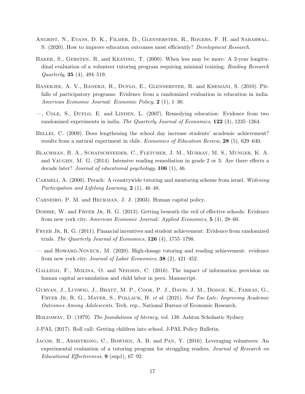- Angrist, N., Evans, D. K., Filmer, D., Glennerster, R., Rogers, F. H. and Sabarwal, S. (2020). How to improve education outcomes most efficiently? Development Research.
- BAKER, S., GERSTEN, R. and KEATING, T. (2000). When less may be more: A 2-year longitudinal evaluation of a volunteer tutoring program requiring minimal training. Reading Research Quarterly, 35 (4), 494–519.
- BANERJEE, A. V., BANERJI, R., DUFLO, E., GLENNERSTER, R. and KHEMANI, S. (2010). Pitfalls of participatory programs: Evidence from a randomized evaluation in education in india. American Economic Journal: Economic Policy, 2 (1), 1–30.
- —, Cole, S., Duflo, E. and Linden, L. (2007). Remedying education: Evidence from two randomized experiments in india. The Quarterly Journal of Economics, 122 (3), 1235–1264.
- BELLEI, C. (2009). Does lengthening the school day increase students' academic achievement? results from a natural experiment in chile. Economics of Education Review, 28 (5), 629–640.
- Blachman, B. A., Schatschneider, C., Fletcher, J. M., Murray, M. S., Munger, K. A. and Vaughn, M. G. (2014). Intensive reading remediation in grade 2 or 3: Are there effects a decade later? Journal of educational psychology, 106 (1), 46.
- CARMELI, A. (2000). Perach: A countrywide tutoring and mentoring scheme from israel. Widening Participation and Lifelong Learning,  $2(1)$ , 46-48.
- Carneiro, P. M. and Heckman, J. J. (2003). Human capital policy.
- DOBBIE, W. and FRYER JR, R. G. (2013). Getting beneath the veil of effective schools: Evidence from new york city. American Economic Journal: Applied Economics, 5 (4), 28–60.
- FRYER JR, R. G. (2011). Financial incentives and student achievement: Evidence from randomized trials. The Quarterly Journal of Economics,  $126(4)$ ,  $1755-1798$ .
- and Howard-Noveck, M. (2020). High-dosage tutoring and reading achievement: evidence from new york city. Journal of Labor Economics, 38 (2), 421–452.
- Gallego, F., Molina, O. and Neilson, C. (2016). The impact of information provision on human capital accumulation and child labor in peru. Manuscript.
- Guryan, J., Ludwig, J., Bhatt, M. P., Cook, P. J., Davis, J. M., Dodge, K., Farkas, G., FRYER JR, R. G., MAYER, S., POLLACK, H. et al. (2021). Not Too Late: Improving Academic Outcomes Among Adolescents. Tech. rep., National Bureau of Economic Research.
- HOLDAWAY, D. (1979). The foundations of literacy, vol. 138. Ashton Scholastic Sydney.
- J-PAL (2017). Roll call: Getting children into school. J-PAL Policy Bulletin.
- JACOB, R., ARMSTRONG, C., BOWDEN, A. B. and PAN, Y. (2016). Leveraging volunteers: An experimental evaluation of a tutoring program for struggling readers. Journal of Research on Educational Effectiveness, 9 (sup1), 67–92.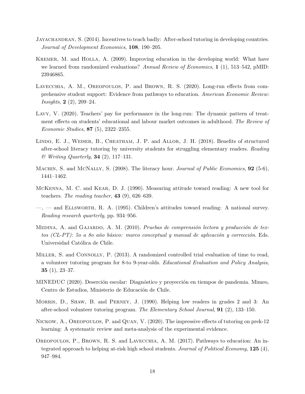- Jayachandran, S. (2014). Incentives to teach badly: After-school tutoring in developing countries. Journal of Development Economics, 108, 190–205.
- KREMER, M. and HOLLA, A. (2009). Improving education in the developing world: What have we learned from randomized evaluations? Annual Review of Economics,  $1(1)$ , 513–542, pMID: 23946865.
- Lavecchia, A. M., Oreopoulos, P. and Brown, R. S. (2020). Long-run effects from comprehensive student support: Evidence from pathways to education. American Economic Review: *Insights*,  $2(2)$ ,  $209-24$ .
- Lavy, V. (2020). Teachers' pay for performance in the long-run: The dynamic pattern of treatment effects on students' educational and labour market outcomes in adulthood. The Review of Economic Studies, 87 (5), 2322–2355.
- Lindo, E. J., Weiser, B., Cheatham, J. P. and Allor, J. H. (2018). Benefits of structured after-school literacy tutoring by university students for struggling elementary readers. Reading  $& Writing$  Quarterly, **34** (2), 117–131.
- MACHIN, S. and MCNALLY, S. (2008). The literacy hour. Journal of Public Economics, **92** (5-6), 1441–1462.
- McKenna, M. C. and Kear, D. J. (1990). Measuring attitude toward reading: A new tool for teachers. The reading teacher,  $43$  (9), 626–639.
- $\rightarrow$  and ELLSWORTH, R. A. (1995). Children's attitudes toward reading: A national survey. Reading research quarterly, pp. 934–956.
- MEDINA, A. and GAJARDO, A. M.  $(2010)$ . Pruebas de comprensión lectora y producción de textos (CL-PT): 50 a 80 año básico: marco conceptual y manual de aplicación y corrección. Eds. Universidad Católica de Chile.
- MILLER, S. and CONNOLLY, P. (2013). A randomized controlled trial evaluation of time to read, a volunteer tutoring program for 8-to 9-year-olds. Educational Evaluation and Policy Analysis, **35** (1),  $23-37$ .
- MINEDUC (2020). Deserción escolar: Diagnóstico y proyección en tiempos de pandemia. Mimeo, Centro de Estudios, Ministerio de Educación de Chile.
- Morris, D., Shaw, B. and Perney, J. (1990). Helping low readers in grades 2 and 3: An after-school volunteer tutoring program. The Elementary School Journal, 91 (2), 133–150.
- Nickow, A., Oreopoulos, P. and Quan, V. (2020). The impressive effects of tutoring on prek-12 learning: A systematic review and meta-analysis of the experimental evidence.
- OREOPOULOS, P., BROWN, R. S. and LAVECCHIA, A. M. (2017). Pathways to education: An integrated approach to helping at-risk high school students. Journal of Political Economy,  $125(4)$ , 947–984.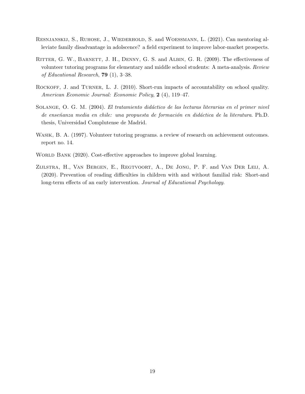- Resnjanskij, S., Ruhose, J., Wiederhold, S. and Woessmann, L. (2021). Can mentoring alleviate family disadvantage in adolscence? a field experiment to improve labor-market prospects.
- RITTER, G. W., BARNETT, J. H., DENNY, G. S. and ALBIN, G. R. (2009). The effectiveness of volunteer tutoring programs for elementary and middle school students: A meta-analysis. Review of Educational Research, 79 (1), 3–38.
- ROCKOFF, J. and TURNER, L. J. (2010). Short-run impacts of accountability on school quality. American Economic Journal: Economic Policy, 2 (4), 119-47.
- SOLANGE, O. G. M. (2004). El tratamiento didáctico de las lecturas literarias en el primer nivel de enseñanza media en chile: una propuesta de formación en didáctica de la literatura. Ph.D. thesis, Universidad Complutense de Madrid.
- WASIK, B. A. (1997). Volunteer tutoring programs. a review of research on achievement outcomes. report no. 14.
- WORLD BANK (2020). Cost-effective approaches to improve global learning.
- Zijlstra, H., Van Bergen, E., Regtvoort, A., De Jong, P. F. and Van Der Leij, A. (2020). Prevention of reading difficulties in children with and without familial risk: Short-and long-term effects of an early intervention. Journal of Educational Psychology.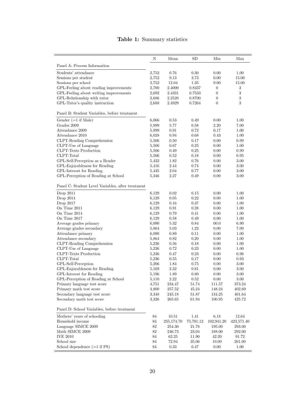#### N Mean SD Min Max Panel A: Process Information Students' attendance  $2,752$  0.76 0.30 0.00 1.00<br>Sessions per student  $2,752$  9.13 3.73 0.00 15.00 Sessions per student Sessions per school 2,752 12.04 1.35 9.00 15.00<br>GPL-Feeling about reading improvements 2.700 2.4000 0.8337 0 3 GPL-Feeling about reading improvements  $2,700$   $2.4000$   $0.8337$  0 GPL-Feeling about writing improvements  $2,692$   $2.4331$   $0.7533$  0 3<br>GPL-Relationship with tutor  $2.686$   $2.2520$   $0.8700$  0 3 GPL-Relationship with tutor  $2,686$   $2.2520$   $0.8700$  0 3<br>GPL-Tutor's quality instruction  $2,688$   $2.4929$   $0.7264$  0 3 GPL-Tutor's quality instruction Panel B: Student Variables, before treatment Gender (=1 if Male) 6,066 0.53 0.49 0.00 1.00<br>Grades 2009 5.999 5.77 0.58 2.20 7.00 Grades 2009 5,999 5.77 0.58 2.20 7.00 Attendance 2009 5,999 0.91 0.72 0.17 1.00 Attendance 2010 6,028 0.94 0.68 0.43 1.00<br>CLPT-Reading Comprehension 5,506 0.50 0.17 0.00 0.99 CLPT-Reading Comprehension 5,506 0.50 0.17 0.00 0.99 CLPT-Use of Language 5,506 0.67 0.25 0.00 1.00 CLPT-Texts Production 5,506 0.49 0.25 0.00 0.99 CLPT-Total  $5,506$   $0.52$   $0.18$   $0.00$   $0.95$ GPL-Self-Perception as a Reader  $5,432$   $1.82$   $0.76$   $0.00$   $3.00$   $3.00$   $3.00$   $3.00$   $3.00$   $3.00$ GPL-Enjoyableness for Reading GPL-Interest for Reading the Solution of Reading at School (GPL-Perception of Reading at School (GPL-Perception of Reading at School (GPL-Perception of Reading at School (GPL-Perception of Reading at School (GPL-GPL-Perception of Reading at School 5,346 2.27 0.49 0.00 3.00 Panel C: Student Level Variables, after treatment Drop 2011 6,129 0.02 0.15 0.00 1.00 Drop 2014 6,129 0.05 0.22 0.00 1.00 Drop 2017 6,129 0.16 0.37 0.00 1.00 On Time 2011 6,129 0.91 0.28 0.00 1.00<br>
On Time 2014 6,129 0.79 0.41 0.00 1.00 On Time 2014 <br>
On Time 2017 <br>  $6,129$   $0.79$   $0.41$   $0.00$   $1.00$ <br>  $6,129$   $0.58$   $0.49$   $0.00$   $1.00$ On Time 2017 6,129 0.58 0.49 0.00 Average grades primary 6,090 5.32 0.84 00.0 6.90 Average grades secondary 6,864 5.03 1.22 0.00 7.00 Attendance primary 6,090 0.89 0.11 0.00 1.00 Attendance secondary 6,864 0.82 0.20 0.00 1.00 CLPT-Reading Comprehension 5,236 0.56 0.18 0.00 1.00<br>CLPT-Use of Language 5,236 0.72 0.23 0.00 1.00  $\begin{array}{cccccccccc} \text{CLPT-Use of Language} & & & & & 5,236 & & 0.72 & & 0.23 & & 0.00 & & 1.00 \\ \text{CLPT-Texts Production} & & & & & 5,236 & & 0.47 & & 0.23 & & 0.00 & & 0.96 \\ \end{array}$ CLPT-Texts Production CLPT-Total CLPT-Total  $5,236$   $0.55$   $0.17$   $0.00$   $0.93$ GPL-Self-Perception 5,206 1.84 0.75 0.00 3.00 GPL-Enjoyableness for Reading  $5,169$   $2.32$   $0.81$   $0.00$   $3.00$ GPL-Interest for Reading t School 5,196 1.89 0.80 0.00 3.00<br>GPL-Perception of Reading at School 5,110 2.22 0.52 0.00 3.00 GPL-Perception of Reading at School 5,110 2.22 0.52 0.00 3.00<br>Primary language test score 4.751 234.47 51.74 111.57 373.24 Primary language test score Primary math test score 4,800 257.52 45.24 148.24 402.69 Secondary language test score 3,348 245.18 51.87 134.25 401.64 Secondary math test score 3,326 265.65 61.94 100.95 425.72 Panel D: School Variables, before treatment Mothers' years of schooling 84 10.51 1.41 6.18 12.64 Household income 84 255,174.70 75,701.12 102,941.20 423,571.40 Language SIMCE 2009 82 254.30 21.78 195.00 293.00<br>Math SIMCE 2009 82 246.73 23.04 188.00 292.00 Math SIMCE 2009 82 246.73 23.04 188.00 226 246.73 23.04 2:20 IVE 2010 84 62.25 11.90 42.20 91.72 School size 84 72.94 35.06 10.00 201.00 School dependence  $(=1 \text{ if } PS)$  84 0.33 0.47 0.00 1.00

#### Table 1: Summary statistics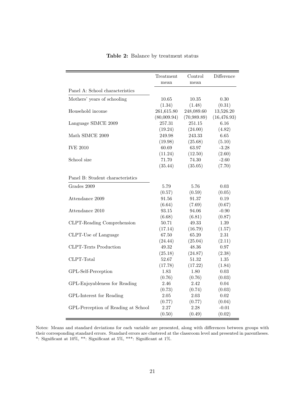|                                     | mean        | mean        | Difference   |
|-------------------------------------|-------------|-------------|--------------|
| Panel A: School characteristics     |             |             |              |
| Mothers' years of schooling         | 10.65       | 10.35       | 0.30         |
|                                     | (1.34)      | (1.48)      | (0.31)       |
| Household income                    | 261,615.80  | 248,089.60  | 13,526.20    |
|                                     | (80,009.94) | (70,989.89) | (16, 476.93) |
| Language SIMCE 2009                 | 257.31      | 251.15      | 6.16         |
|                                     | (19.24)     | (24.00)     | (4.82)       |
| Math SIMCE 2009                     | 249.98      | 243.33      | 6.65         |
|                                     | (19.98)     | (25.68)     | (5.10)       |
| <b>IVE 2010</b>                     | 60.69       | 63.97       | $-3.28$      |
|                                     | (11.24)     | (12.50)     | (2.60)       |
| School size                         | 71.70       | 74.30       | $-2.60$      |
|                                     | (35.44)     | (35.05)     | (7.70)       |
| Panel B: Student characteristics    |             |             |              |
| Grades 2009                         | 5.79        | 5.76        | 0.03         |
|                                     | (0.57)      | (0.59)      | (0.05)       |
| Attendance 2009                     | 91.56       | 91.37       | 0.19         |
|                                     | (6.64)      | (7.69)      | (0.67)       |
| Attendance 2010                     | 93.15       | 94.06       | $-0.90$      |
|                                     | (6.68)      | (6.81)      | (0.87)       |
| CLPT-Reading Comprehension          | 50.71       | 49.33       | 1.39         |
|                                     | (17.14)     | (16.79)     | (1.57)       |
| CLPT-Use of Language                | 67.50       | 65.20       | 2.31         |
|                                     | (24.44)     | (25.04)     | (2.11)       |
| <b>CLPT-Texts Production</b>        | 49.32       | 48.36       | 0.97         |
|                                     | (25.18)     | (24.87)     | (2.38)       |
| CLPT-Total                          | 52.67       | $51.32\,$   | 1.35         |
|                                     | (17.78)     | (17.22)     | (1.84)       |
| GPL-Self-Perception                 | 1.83        | 1.80        | 0.03         |
|                                     | (0.76)      | (0.76)      | (0.03)       |
| GPL-Enjoyableness for Reading       | 2.46        | 2.42        | 0.04         |
|                                     | (0.73)      | (0.74)      | (0.03)       |
| GPL-Interest for Reading            | $2.05\,$    | 2.03        | $0.02\,$     |
|                                     | (0.77)      | (0.77)      | (0.04)       |
| GPL-Perception of Reading at School | 2.27        | 2.28        | $-0.01$      |
|                                     | (0.50)      | (0.49)      | (0.02)       |

Table 2: Balance by treatment status

Notes: Means and standard deviations for each variable are presented, along with differences between groups with their corresponding standard errors. Standard errors are clustered at the classroom level and presented in parentheses. \*: Significant at 10%, \*\*: Significant at 5%, \*\*\*: Significant at 1%.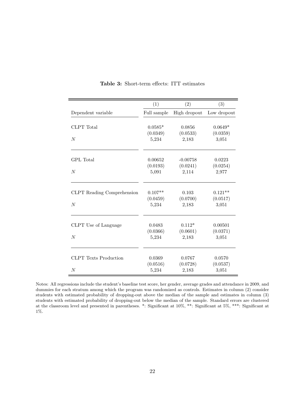|                              | (1)         | (2)          | (3)         |
|------------------------------|-------------|--------------|-------------|
| Dependent variable           | Full sample | High dropout | Low dropout |
|                              |             |              |             |
| CLPT Total                   | $0.0585*$   | 0.0856       | $0.0649*$   |
|                              | (0.0349)    | (0.0533)     | (0.0359)    |
| $\overline{N}$               | 5,234       | 2,183        | 3,051       |
|                              |             |              |             |
| GPL Total                    | 0.00652     | $-0.00758$   | 0.0223      |
|                              | (0.0193)    | (0.0241)     | (0.0254)    |
| $\overline{N}$               | 5,091       | 2,114        | 2,977       |
|                              |             |              |             |
| CLPT Reading Comprehension   | $0.107**$   | 0.103        | $0.121**$   |
|                              | (0.0459)    | (0.0700)     | (0.0517)    |
| $\overline{N}$               | 5,234       | 2,183        | 3,051       |
|                              |             |              |             |
| CLPT Use of Language         | 0.0483      | $0.112*$     | 0.00501     |
|                              | (0.0366)    | (0.0601)     | (0.0371)    |
| $\overline{N}$               | 5,234       | 2,183        | 3,051       |
|                              |             |              |             |
| <b>CLPT</b> Texts Production | 0.0369      | 0.0767       | 0.0570      |
|                              | (0.0516)    | (0.0728)     | (0.0537)    |
| $\boldsymbol{N}$             | 5,234       | 2,183        | 3,051       |

Table 3: Short-term effects: ITT estimates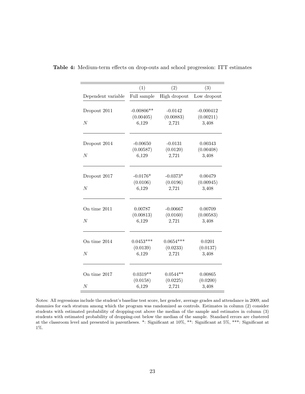|                    | (1)                       | (2)                     | (3)                      |
|--------------------|---------------------------|-------------------------|--------------------------|
| Dependent variable | Full sample               | High dropout            | Low dropout              |
| Dropout 2011       | $-0.00806**$<br>(0.00405) | $-0.0142$<br>(0.00883)  | $-0.000412$<br>(0.00211) |
| $\overline{N}$     | 6,129                     | 2,721                   | 3,408                    |
|                    |                           |                         |                          |
| Dropout 2014       | $-0.00650$                | $-0.0131$               | 0.00343                  |
| $\boldsymbol{N}$   | (0.00587)<br>6,129        | (0.0120)<br>2,721       | (0.00408)<br>3,408       |
|                    |                           |                         |                          |
| Dropout 2017       | $-0.0176*$                | $-0.0373*$              | 0.00479                  |
|                    | (0.0106)                  | (0.0196)                | (0.00945)                |
| N                  | 6,129                     | 2,721                   | 3,408                    |
| On time 2011       | 0.00787                   | $-0.00667$              | 0.00709                  |
|                    | (0.00813)                 | (0.0160)                | (0.00583)                |
| N                  | 6,129                     | 2,721                   | 3,408                    |
|                    |                           |                         |                          |
| On time 2014       | $0.0453***$<br>(0.0139)   | $0.0654***$<br>(0.0233) | 0.0201<br>(0.0137)       |
| $\overline{N}$     | 6,129                     | 2,721                   | 3,408                    |
|                    |                           |                         |                          |
| On time 2017       | $0.0319**$                | $0.0544**$              | 0.00865                  |
|                    | (0.0158)                  | (0.0225)                | (0.0200)                 |
| N                  | 6,129                     | 2,721                   | 3,408                    |

Table 4: Medium-term effects on drop-outs and school progression: ITT estimates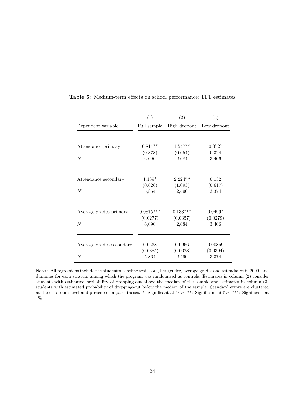|                          | (1)               | (2)               | (3)               |
|--------------------------|-------------------|-------------------|-------------------|
| Dependent variable       | Full sample       | High dropout      | Low dropout       |
| Attendance primary       | $0.814**$         | $1.547**$         | 0.0727            |
| $\overline{N}$           | (0.373)<br>6,090  | (0.654)<br>2,684  | (0.324)<br>3,406  |
| Attendance secondary     | $1.139*$          | $2.224**$         | 0.132             |
| $\overline{N}$           | (0.626)<br>5,864  | (1.093)<br>2,490  | (0.617)<br>3,374  |
| Average grades primary   | $0.0875***$       | $0.133***$        | $0.0499*$         |
| $\overline{N}$           | (0.0277)<br>6,090 | (0.0357)<br>2,684 | (0.0279)<br>3,406 |
| Average grades secondary | 0.0538            | 0.0966            | 0.00859           |
| $\overline{N}$           | (0.0385)<br>5,864 | (0.0623)<br>2,490 | (0.0394)<br>3,374 |

Table 5: Medium-term effects on school performance: ITT estimates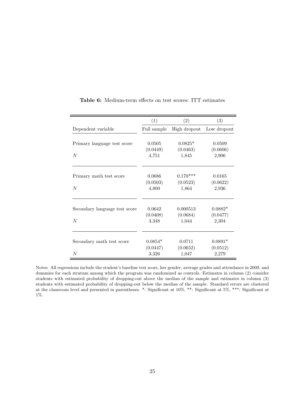|                               | (1)         | (2)          | (3)         |
|-------------------------------|-------------|--------------|-------------|
| Dependent variable            | Full sample | High dropout | Low dropout |
|                               |             |              |             |
| Primary language test score   | 0.0505      | $0.0825*$    | 0.0509      |
|                               | (0.0449)    | (0.0463)     | (0.0606)    |
| $\overline{N}$                | 4,751       | 1,845        | 2,906       |
| Primary math test score       | 0.0686      | $0.170***$   | 0.0165      |
|                               | (0.0503)    | (0.0523)     | (0.0622)    |
| $\overline{N}$                | 4,800       | 1,864        | 2,936       |
| Secondary language test score | 0.0642      | 0.000513     | $0.0882*$   |
|                               | (0.0408)    | (0.0684)     | (0.0477)    |
| $\overline{N}$                | 3,348       | 1,044        | 2,304       |
|                               |             |              |             |
| Secondary math test score     | $0.0854*$   | 0.0711       | $0.0891*$   |
|                               | (0.0447)    | (0.0652)     | (0.0512)    |
| N                             | 3,326       | 1,047        | 2,279       |

Table 6: Medium-term effects on test scores: ITT estimates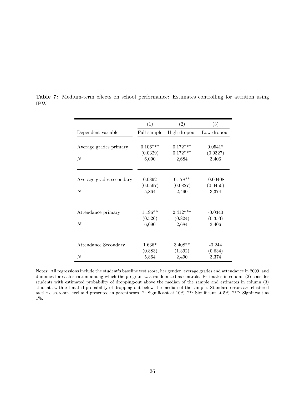|                          | (1)         | (2)          | (3)         |
|--------------------------|-------------|--------------|-------------|
| Dependent variable       | Full sample | High dropout | Low dropout |
|                          |             |              |             |
| Average grades primary   | $0.106***$  | $0.172***$   | $0.0541*$   |
|                          | (0.0329)    | $0.172***$   | (0.0327)    |
| N                        | 6,090       | 2,684        | 3,406       |
| Average grades secondary | 0.0892      | $0.178**$    | $-0.00408$  |
|                          | (0.0567)    | (0.0827)     | (0.0450)    |
| $\overline{N}$           | 5,864       | 2,490        | 3,374       |
| Attendance primary       | $1.196**$   | $2.412***$   | $-0.0340$   |
|                          | (0.526)     | (0.824)      | (0.353)     |
| N                        | 6,090       | 2,684        | 3,406       |
|                          |             |              |             |
| Attendance Secondary     | $1.636*$    | $3.408**$    | $-0.244$    |
|                          | (0.883)     | (1.392)      | (0.634)     |
| N                        | 5,864       | 2,490        | 3,374       |

Table 7: Medium-term effects on school performance: Estimates controlling for attrition using IPW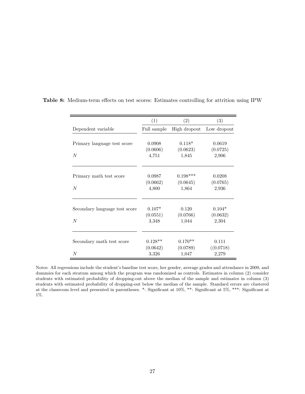|                               | (1)         | (2)          | (3)         |
|-------------------------------|-------------|--------------|-------------|
| Dependent variable            | Full sample | High dropout | Low dropout |
|                               |             |              |             |
| Primary language test score   | 0.0908      | $0.118*$     | 0.0619      |
|                               | (0.0606)    | (0.0623)     | (0.0725)    |
| $\overline{N}$                | 4,751       | 1,845        | 2,906       |
|                               |             |              |             |
| Primary math test score       | 0.0987      | $0.198***$   | 0.0208      |
|                               | (0.0662)    | (0.0645)     | (0.0765)    |
| $\overline{N}$                | 4,800       | 1,864        | 2,936       |
|                               |             |              |             |
| Secondary language test score | $0.107*$    | 0.120        | $0.104*$    |
|                               | (0.0551)    | (0.0766)     | (0.0632)    |
| N                             | 3,348       | 1,044        | 2,304       |
|                               |             |              |             |
| Secondary math test score     | $0.128**$   | $0.170**$    | 0.111       |
|                               | (0.0642)    | (0.0789)     | ((0.0718)   |
| $\,N$                         | 3,326       | 1,047        | 2,279       |

Table 8: Medium-term effects on test scores: Estimates controlling for attrition using IPW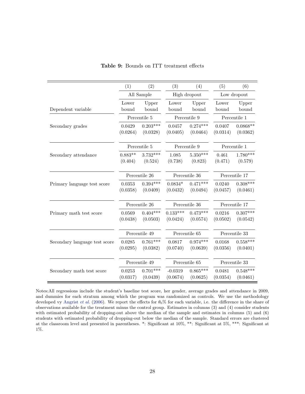|                               | (1)                  | (2)                    | (3)                    | (4)                    | (5)                | (6)                    |  |  |
|-------------------------------|----------------------|------------------------|------------------------|------------------------|--------------------|------------------------|--|--|
|                               |                      | All Sample             | High dropout           |                        | Low dropout        |                        |  |  |
| Dependent variable            | Lower<br>bound       | Upper<br>bound         | Lower<br>bound         | Upper<br>bound         | Lower<br>bound     | Upper<br>bound         |  |  |
|                               |                      | Percentile 5           |                        | Percentile 9           |                    | Percentile 1           |  |  |
| Secondary grades              | 0.0429<br>(0.0264)   | $0.203***$<br>(0.0328) | 0.0457<br>(0.0405)     | $0.274***$<br>(0.0464) | 0.0407<br>(0.0314) | $0.0868**$<br>(0.0362) |  |  |
|                               |                      | Percentile 5           |                        | Percentile 9           |                    | Percentile 1           |  |  |
| Secondary attendance          | $0.883**$<br>(0.404) | $3.732***$<br>(0.524)  | 1.085<br>(0.738)       | $5.350***$<br>(0.823)  | 0.461<br>(0.471)   | $1.780***$<br>(0.579)  |  |  |
|                               |                      | Percentile 26          |                        | Percentile 36          |                    | Percentile 17          |  |  |
| Primary language test score   | 0.0353<br>(0.0358)   | $0.394***$<br>(0.0409) | $0.0834*$<br>(0.0432)  | $0.471***$<br>(0.0494) | 0.0240<br>(0.0457) | $0.308***$<br>(0.0461) |  |  |
|                               |                      | Percentile 26          |                        | Percentile 36          | Percentile 17      |                        |  |  |
| Primary math test score       | 0.0569<br>(0.0438)   | $0.404***$<br>(0.0503) | $0.133***$<br>(0.0424) | $0.473***$<br>(0.0574) | 0.0216<br>(0.0502) | $0.307***$<br>(0.0542) |  |  |
|                               |                      | Percentile 49          |                        | Percentile 65          |                    | Percentile 33          |  |  |
| Secondary language test score | 0.0285<br>(0.0295)   | $0.761***$<br>(0.0382) | 0.0817<br>(0.0740)     | $0.974***$<br>(0.0639) | 0.0168<br>(0.0356) | $0.558***$<br>(0.0401) |  |  |
|                               |                      | Percentile 49          |                        | Percentile 65          | Percentile 33      |                        |  |  |
| Secondary math test score     | 0.0253<br>(0.0317)   | $0.701***$<br>(0.0439) | $-0.0319$<br>(0.0674)  | $0.865***$<br>(0.0625) | 0.0481<br>(0.0354) | $0.548***$<br>(0.0461) |  |  |

Table 9: Bounds on ITT treatment effects

Notes:All regressions include the student's baseline test score, her gender, average grades and attendance in 2009, and dummies for each stratum among which the program was randomized as controls. We use the methodology developed vy Angrist *et al.* (2006). We report the effects for  $\theta_0\%$  for each variable, i.e. the difference in the share of observations available for the treatment minus the control group. Estimates in columns (3) and (4) consider students with estimated probability of dropping-out above the median of the sample and estimates in columns (5) and (6) students with estimated probability of dropping-out below the median of the sample. Standard errors are clustered at the classroom level and presented in parentheses. \*: Significant at 10%, \*\*: Significant at 5%, \*\*\*: Significant at 1%.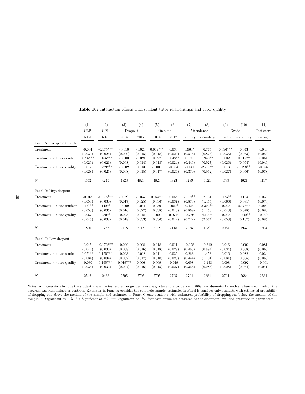|                                  | (1)        | (2)         | (3)         | (4)      | (5)        | (6)       | (7)       | (8)        | (9)        | (10)       | (11)       |
|----------------------------------|------------|-------------|-------------|----------|------------|-----------|-----------|------------|------------|------------|------------|
|                                  | CLP        | <b>GPL</b>  | Dropout     |          | On time    |           |           | Attendance |            | Grade      | Test score |
|                                  | total      | total       | 2014        | 2017     | 2014       | 2017      | primary   | secondary  | primary    | secondary  | average    |
| Panel A: Complete Sample         |            |             |             |          |            |           |           |            |            |            |            |
| Treatment                        | $-0.004$   | $-0.175***$ | $-0.010$    | $-0.020$ | $0.049***$ | 0.033     | $0.964*$  | 0.775      | $0.096***$ | 0.043      | 0.046      |
|                                  | (0.039)    | (0.026)     | (0.009)     | (0.015)  | (0.018)    | (0.023)   | (0.518)   | (0.873)    | (0.036)    | (0.053)    | (0.053)    |
| Treatment $\times$ tutor-student | $0.096***$ | $0.165***$  | $-0.000$    | $-0.021$ | 0.027      | $0.048**$ | 0.199     | $1.940**$  | 0.002      | $0.112**$  | 0.064      |
|                                  | (0.029)    | (0.026)     | (0.008)     | (0.014)  | (0.018)    | (0.024)   | (0.446)   | (0.927)    | (0.026)    | (0.054)    | (0.046)    |
| Treatment $\times$ tutor quality | 0.017      | $0.229***$  | $-0.002$    | 0.013    | $-0.009$   | $-0.034$  | $-0.141$  | $-2.285**$ | 0.018      | $-0.128**$ | $-0.026$   |
|                                  | (0.028)    | (0.025)     | (0.008)     | (0.015)  | (0.017)    | (0.024)   | (0.379)   | (0.952)    | (0.027)    | (0.056)    | (0.038)    |
| $\boldsymbol{N}$                 | 4342       | 4245        | 4823        | 4823     | 4823       | 4823      | 4789      | 4621       | 4789       | 4621       | 4137       |
| Panel B: High dropout            |            |             |             |          |            |           |           |            |            |            |            |
| Treatment                        | $-0.018$   | $-0.176***$ | $-0.027$    | $-0.037$ | $0.074**$  | 0.055     | $2.119**$ | 2.131      | $0.173**$  | 0.103      | 0.039      |
|                                  | (0.058)    | (0.030)     | (0.017)     | (0.025)  | (0.036)    | (0.037)   | (0.873)   | (1.455)    | (0.066)    | (0.081)    | (0.070)    |
| Treatment $\times$ tutor-student | $0.127**$  | $0.142***$  | $-0.009$    | $-0.041$ | 0.059      | $0.089*$  | 0.426     | $3.393**$  | $-0.025$   | $0.178**$  | 0.090      |
|                                  | (0.050)    | (0.035)     | (0.016)     | (0.027)  | (0.038)    | (0.046)   | (0.869)   | (1.456)    | (0.043)    | (0.078)    | (0.080)    |
| Treatment $\times$ tutor quality | 0.067      | $0.280***$  | 0.025       | 0.018    | $-0.029$   | $-0.071*$ | $-0.756$  | $-4.190**$ | $-0.005$   | $-0.242**$ | $-0.027$   |
|                                  | (0.046)    | (0.038)     | (0.018)     | (0.033)  | (0.036)    | (0.042)   | (0.722)   | (2.074)    | (0.058)    | (0.107)    | (0.085)    |
| $\boldsymbol{N}$                 | 1800       | 1757        | 2118        | 2118     | 2118       | 2118      | 2085      | 1937       | 2085       | 1937       | 1603       |
| Panel C: Low dropout             |            |             |             |          |            |           |           |            |            |            |            |
| Treatment                        | 0.045      | $-0.172***$ | 0.009       | 0.008    | 0.018      | 0.011     | $-0.028$  | $-0.312$   | 0.046      | $-0.002$   | 0.081      |
|                                  | (0.042)    | (0.036)     | (0.008)     | (0.016)  | (0.018)    | (0.029)   | (0.465)   | (0.894)    | (0.034)    | (0.058)    | (0.066)    |
| Treatment $\times$ tutor-student | $0.071**$  | $0.175***$  | 0.003       | $-0.018$ | 0.011      | 0.025     | 0.263     | 1.453      | 0.016      | 0.082      | 0.034      |
|                                  | (0.034)    | (0.034)     | (0.007)     | (0.017)  | (0.018)    | (0.026)   | (0.444)   | (1.101)    | (0.031)    | (0.065)    | (0.055)    |
| Treatment $\times$ tutor quality | $-0.030$   | $0.195***$  | $-0.019***$ | 0.006    | 0.009      | $-0.019$  | 0.098     | $-1.438$   | 0.008      | $-0.092$   | $-0.061$   |
|                                  | (0.034)    | (0.033)     | (0.007)     | (0.016)  | (0.015)    | (0.027)   | (0.368)   | (0.985)    | (0.028)    | (0.064)    | (0.041)    |
| N                                | 2542       | 2488        | 2705        | 2705     | 2705       | 2705      | 2704      | 2684       | 2704       | 2684       | 2534       |

Table 10: Interaction effects with student-tutor relationships and tutor quality

Notes: All regressions include the student's baseline test score, her gender, average grades and attendance in 2009, and dummies for each stratum among which the program was randomized as controls. Estimates in Panel A consider the complete sample, estimates in Panel B consider only students with estimated probability of dropping-out above the median of the sample and estimates in Panel C only students with estimated probability of dropping-out below the median of the sample. \*: Significant at 10%, \*\*: Significant at 5%, \*\*\*: Significant at 1%. Standard errors are clustered at the classroom level and presented in parentheses.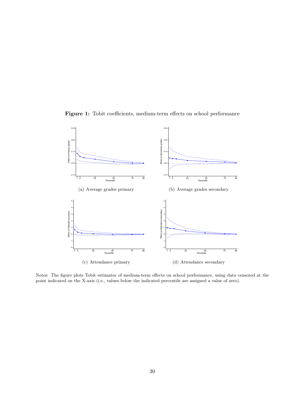



Notes: The figure plots Tobit estimates of medium-term effects on school performance, using data censored at the point indicated on the X-axis (i.e., values below the indicated percentile are assigned a value of zero).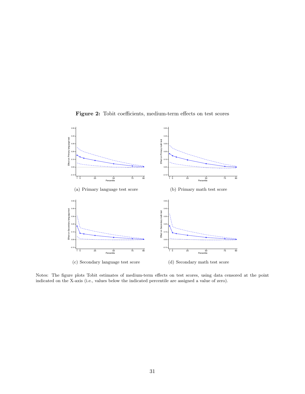

Figure 2: Tobit coefficients, medium-term effects on test scores

Notes: The figure plots Tobit estimates of medium-term effects on test scores, using data censored at the point indicated on the X-axis (i.e., values below the indicated percentile are assigned a value of zero).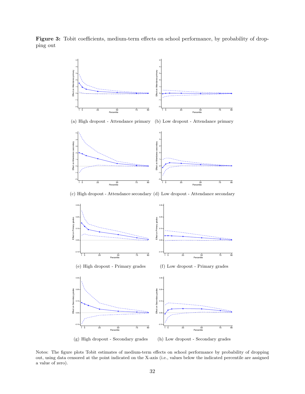Figure 3: Tobit coefficients, medium-term effects on school performance, by probability of dropping out



Notes: The figure plots Tobit estimates of medium-term effects on school performance by probability of dropping out, using data censored at the point indicated on the X-axis (i.e., values below the indicated percentile are assigned a value of zero).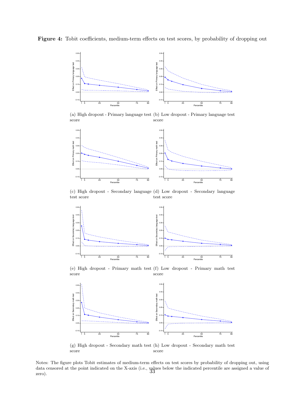Figure 4: Tobit coefficients, medium-term effects on test scores, by probability of dropping out



(a) High dropout - Primary language test (b) Low dropout - Primary language test score score



(c) High dropout - Secondary language (d) Low dropout - Secondary language test score test score



(e) High dropout - Primary math test (f) Low dropout - Primary math test score score



(g) High dropout - Secondary math test (h) Low dropout - Secondary math test score score

Notes: The figure plots Tobit estimates of medium-term effects on test scores by probability of dropping out, using data censored at the point indicated on the X-axis (i.e., values below the indicated percentile are assigned a value of zero).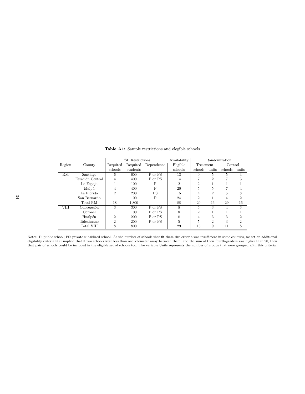|             |                  |                | FSP Restrictions |            | Availability   | Randomization  |                |         |                |
|-------------|------------------|----------------|------------------|------------|----------------|----------------|----------------|---------|----------------|
| Region      | County           | Required       | Required         | Dependence | Eligible       | Treatment      |                | Control |                |
|             |                  | schools        | students         |            | schools        | schools        | units          | schools | units          |
| RM          | Santiago         | 6              | 600              | P or PS    | 13             | 9              | 5              | 5       | 3              |
|             | Estación Central | 4              | 400              | P or PS    | 14             |                | $\overline{2}$ | 7       | 3              |
|             | Lo Espejo        |                | 100              | Ρ          | $\overline{2}$ | $\overline{2}$ |                |         |                |
|             | Maipú            | 4              | 400              | P          | 20             | 5              | 5              | 7       | 4              |
|             | La Florida       | $\overline{2}$ | <b>200</b>       | PS         | 15             | 4              | $\overline{2}$ | 5       | 3              |
|             | San Bernardo     |                | 100              | P          | 24             | $\overline{2}$ |                | 4       | $\overline{2}$ |
|             | Total RM         | 18             | 1,800            |            | 88             | 29             | 16             | 29      | 16             |
| <b>VIII</b> | Concepción       | 3              | 300              | P or PS    | 8              | $\overline{5}$ | 3              | 4       | 3              |
|             | Coronel          |                | 100              | P or PS    | 8              | $\mathfrak{D}$ |                |         |                |
|             | Hualpén          | $\overline{2}$ | <b>200</b>       | P or PS    | 8              | 4              | 3              | 3       | 2              |
|             | Talcahuano       | $\overline{2}$ | 200              | P or PS    | 5              | 5              | $\overline{2}$ | 3       | $\overline{2}$ |
|             | Total VIII       | 8              | 800              |            | 29             | 16             | 9              | 11      | 8              |

Table A1: Sample restrictions and elegible schools

Notes: P: public school; PS: private subsidized school. As the number of schools that fit these size criteria was insufficient in some counties, we set an additional eligibility criteria that implied that if two schools were less than one kilometer away between them, and the sum of their fourth-graders was higher than 90, then that pair of schools could be included in the eligible set of schools too. The variable Units represents the number of groups that were grouped with this criteria.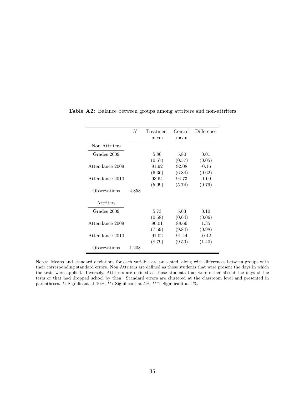|                 | N     | Treatment | Control | Difference |
|-----------------|-------|-----------|---------|------------|
|                 |       | mean      | mean    |            |
| Non Attriters   |       |           |         |            |
| Grades 2009     |       | 5.80      | 5.80    | 0.01       |
|                 |       | (0.57)    | (0.57)  | (0.05)     |
| Attendance 2009 |       | 91.92     | 92.08   | $-0.16$    |
|                 |       | (6.36)    | (6.84)  | (0.62)     |
| Attendance 2010 |       | 93.64     | 94.73   | $-1.09$    |
|                 |       | (5.99)    | (5.74)  | (0.79)     |
| Observations    | 4,858 |           |         |            |
| Attriters       |       |           |         |            |
| Grades 2009     |       | 5.73      | 5.63    | 0.10       |
|                 |       | (0.58)    | (0.64)  | (0.06)     |
| Attendance 2009 |       | 90.01     | 88.66   | 1.35       |
|                 |       | (7.59)    | (9.84)  | (0.98)     |
| Attendance 2010 |       | 91.02     | 91.44   | $-0.42$    |
|                 |       | (8.79)    | (9.50)  | (1.40)     |
| Observations    | 1,208 |           |         |            |

Table A2: Balance between groups among attriters and non-attriters

Notes: Means and standard deviations for each variable are presented, along with differences between groups with their corresponding standard errors. Non Attriters are defined as those students that were present the days in which the tests were applied. Inversely, Attriters are defined as those students that were either absent the days of the tests or that had dropped school by then. Standard errors are clustered at the classroom level and presented in parentheses. \*: Significant at 10%, \*\*: Significant at 5%, \*\*\*: Significant at 1%.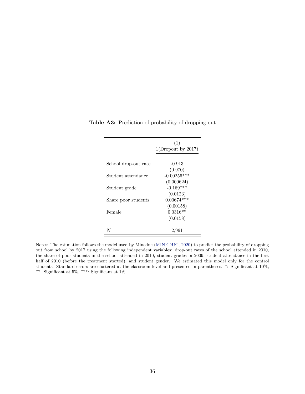|                      | (1)<br>$1(D_{\text{ropout}})$ by 2017) |
|----------------------|----------------------------------------|
| School drop-out rate | $-0.913$                               |
|                      | (0.970)                                |
| Student attendance   | $-0.00256***$                          |
|                      | (0.000624)                             |
| Student grade        | $-0.169***$                            |
|                      | (0.0123)                               |
| Share poor students  | $0.00674***$                           |
|                      | (0.00158)                              |
| Female               | $0.0316**$                             |
|                      | (0.0158)                               |
|                      |                                        |
| N                    | 2,961                                  |

Table A3: Prediction of probability of dropping out

Notes: The estimation follows the model used by Mineduc (MINEDUC, 2020) to predict the probability of dropping out from school by 2017 using the following independent variables: drop-out rates of the school attended in 2010, the share of poor students in the school attended in 2010, student grades in 2009, student attendance in the first half of 2010 (before the treatment started), and student gender. We estimated this model only for the control students. Standard errors are clustered at the classroom level and presented in parentheses. \*: Significant at 10%, \*\*: Significant at 5%, \*\*\*: Significant at 1%.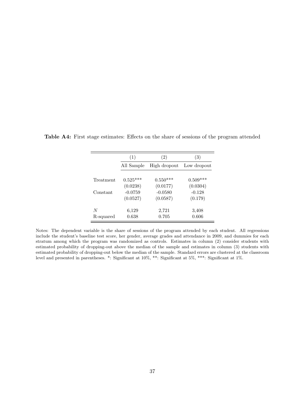|           | (1)        | (2)          | (3)         |
|-----------|------------|--------------|-------------|
|           | All Sample | High dropout | Low dropout |
| Treatment | $0.525***$ | $0.550***$   | $0.509***$  |
|           | (0.0238)   | (0.0177)     | (0.0304)    |
| Constant  | $-0.0759$  | $-0.0580$    | $-0.128$    |
|           | (0.0527)   | (0.0587)     | (0.179)     |
| N         | 6,129      | 2,721        | 3,408       |
| R-squared | 0.638      | 0.705        | 0.606       |

Table A4: First stage estimates: Effects on the share of sessions of the program attended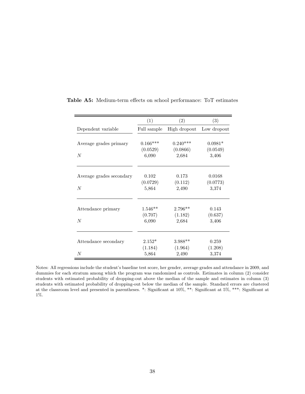|                          | (1)         | (2)          | (3)         |
|--------------------------|-------------|--------------|-------------|
| Dependent variable       | Full sample | High dropout | Low dropout |
|                          |             |              |             |
| Average grades primary   | $0.166***$  | $0.240***$   | $0.0981*$   |
|                          | (0.0529)    | (0.0866)     | (0.0549)    |
| N                        | 6,090       | 2,684        | 3,406       |
|                          |             |              |             |
| Average grades secondary | 0.102       | 0.173        | 0.0168      |
|                          | (0.0729)    | (0.112)      | (0.0773)    |
| $\overline{N}$           | 5,864       | 2,490        | 3,374       |
|                          |             |              |             |
| Attendance primary       | $1.546**$   | $2.796**$    | 0.143       |
|                          | (0.707)     | (1.182)      | (0.637)     |
| N                        | 6,090       | 2,684        | 3,406       |
|                          |             |              |             |
| Attendance secondary     | $2.152*$    | $3.988**$    | 0.259       |
|                          | (1.184)     | (1.964)      | (1.208)     |
| $\overline{N}$           | 5,864       | 2,490        | 3,374       |

Table A5: Medium-term effects on school performance: ToT estimates